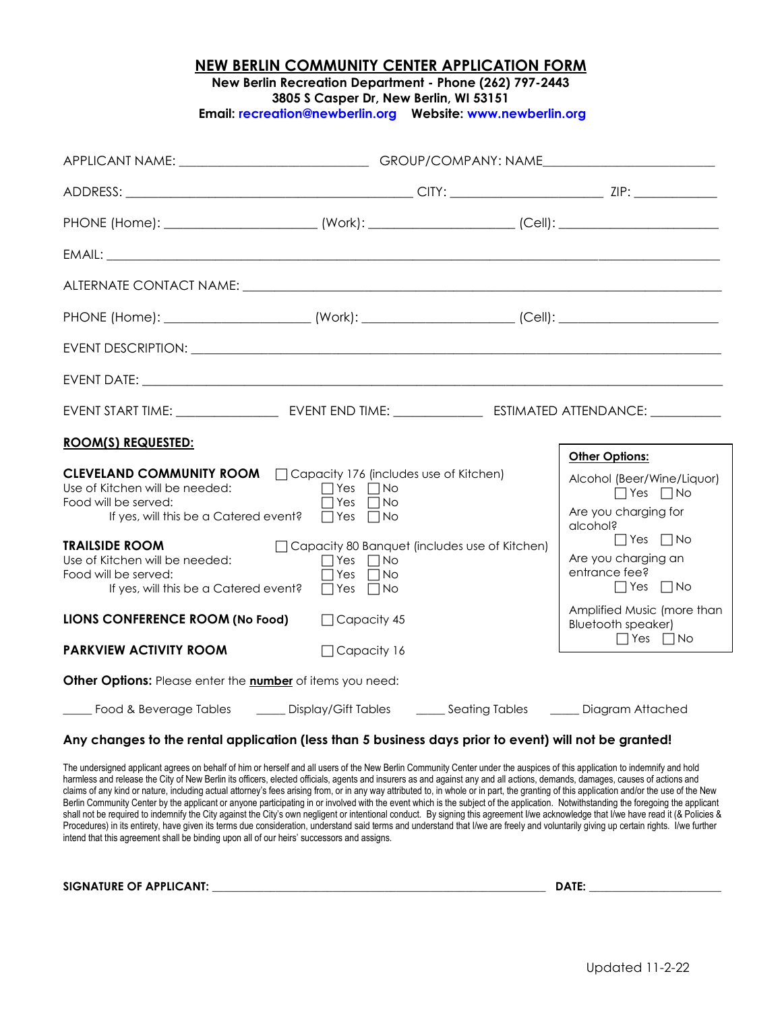**NEW BERLIN COMMUNITY CENTER APPLICATION FORM**

**New Berlin Recreation Department - Phone (262) 797-2443**

**3805 S Casper Dr, New Berlin, WI 53151**

**Email: recreation@newberlin.org Website: [www.newberlin.org](http://www.newberlin.org/)**

|                                                                                                                                                                                                                                                                                   | APPLICANT NAME: _______________________________GROUP/COMPANY: NAME_________________________________                                             |                                                                                                                                                        |  |  |  |
|-----------------------------------------------------------------------------------------------------------------------------------------------------------------------------------------------------------------------------------------------------------------------------------|-------------------------------------------------------------------------------------------------------------------------------------------------|--------------------------------------------------------------------------------------------------------------------------------------------------------|--|--|--|
|                                                                                                                                                                                                                                                                                   |                                                                                                                                                 |                                                                                                                                                        |  |  |  |
|                                                                                                                                                                                                                                                                                   |                                                                                                                                                 |                                                                                                                                                        |  |  |  |
|                                                                                                                                                                                                                                                                                   |                                                                                                                                                 |                                                                                                                                                        |  |  |  |
|                                                                                                                                                                                                                                                                                   |                                                                                                                                                 |                                                                                                                                                        |  |  |  |
| PHONE (Home): _______________________________(Work): ____________________________(Cell): _____________________                                                                                                                                                                    |                                                                                                                                                 |                                                                                                                                                        |  |  |  |
|                                                                                                                                                                                                                                                                                   |                                                                                                                                                 |                                                                                                                                                        |  |  |  |
|                                                                                                                                                                                                                                                                                   |                                                                                                                                                 |                                                                                                                                                        |  |  |  |
| EVENT START TIME: ___________________________ EVENT END TIME: ___________________ ESTIMATED ATTENDANCE: ____________                                                                                                                                                              |                                                                                                                                                 |                                                                                                                                                        |  |  |  |
| <b>ROOM(S) REQUESTED:</b>                                                                                                                                                                                                                                                         |                                                                                                                                                 | <b>Other Options:</b>                                                                                                                                  |  |  |  |
| <b>CLEVELAND COMMUNITY ROOM Copacity 176 (includes use of Kitchen)</b><br>Use of Kitchen will be needed:<br>Food will be served:<br>If yes, will this be a Catered event? $\Box$ Yes $\Box$ No<br><b>TRAILSIDE ROOM</b><br>Use of Kitchen will be needed:<br>Food will be served: | $\Box$ Yes $\Box$ No<br>$\Box$ Yes $\Box$ No<br>□ Capacity 80 Banquet (includes use of Kitchen)<br>$\Box$ Yes $\Box$ No<br>$\Box$ Yes $\Box$ No | Alcohol (Beer/Wine/Liquor)<br>$\Box$ Yes $\Box$ No<br>Are you charging for<br>alcohol?<br>$\Box$ Yes $\Box$ No<br>Are you charging an<br>entrance fee? |  |  |  |
| If yes, will this be a Catered event? $\Box$ Yes $\Box$ No                                                                                                                                                                                                                        |                                                                                                                                                 | $\Box$ Yes $\Box$ No<br>Amplified Music (more than                                                                                                     |  |  |  |
| LIONS CONFERENCE ROOM (No Food)<br><b>PARKVIEW ACTIVITY ROOM</b>                                                                                                                                                                                                                  | $\Box$ Capacity 45<br>$\Box$ Capacity 16                                                                                                        | <b>Bluetooth speaker)</b><br>$\Box$ Yes $\Box$ No                                                                                                      |  |  |  |
| <b>Other Options:</b> Please enter the <b>number</b> of items you need:                                                                                                                                                                                                           |                                                                                                                                                 |                                                                                                                                                        |  |  |  |
| Food & Beverage Tables                                                                                                                                                                                                                                                            | _____ Display/Gift Tables                                                                                                                       | ______ Seating Tables _______ Diagram Attached                                                                                                         |  |  |  |

#### **Any changes to the rental application (less than 5 business days prior to event) will not be granted!**

The undersigned applicant agrees on behalf of him or herself and all users of the New Berlin Community Center under the auspices of this application to indemnify and hold harmless and release the City of New Berlin its officers, elected officials, agents and insurers as and against any and all actions, demands, damages, causes of actions and claims of any kind or nature, including actual attorney's fees arising from, or in any way attributed to, in whole or in part, the granting of this application and/or the use of the New Berlin Community Center by the applicant or anyone participating in or involved with the event which is the subject of the application. Notwithstanding the foregoing the applicant shall not be required to indemnify the City against the City's own negligent or intentional conduct. By signing this agreement I/we acknowledge that I/we have read it (& Policies & Procedures) in its entirety, have given its terms due consideration, understand said terms and understand that I/we are freely and voluntarily giving up certain rights. I/we further intend that this agreement shall be binding upon all of our heirs' successors and assigns.

SIGNATURE OF APPLICANT:

| <b>DATE</b> |  |
|-------------|--|
|             |  |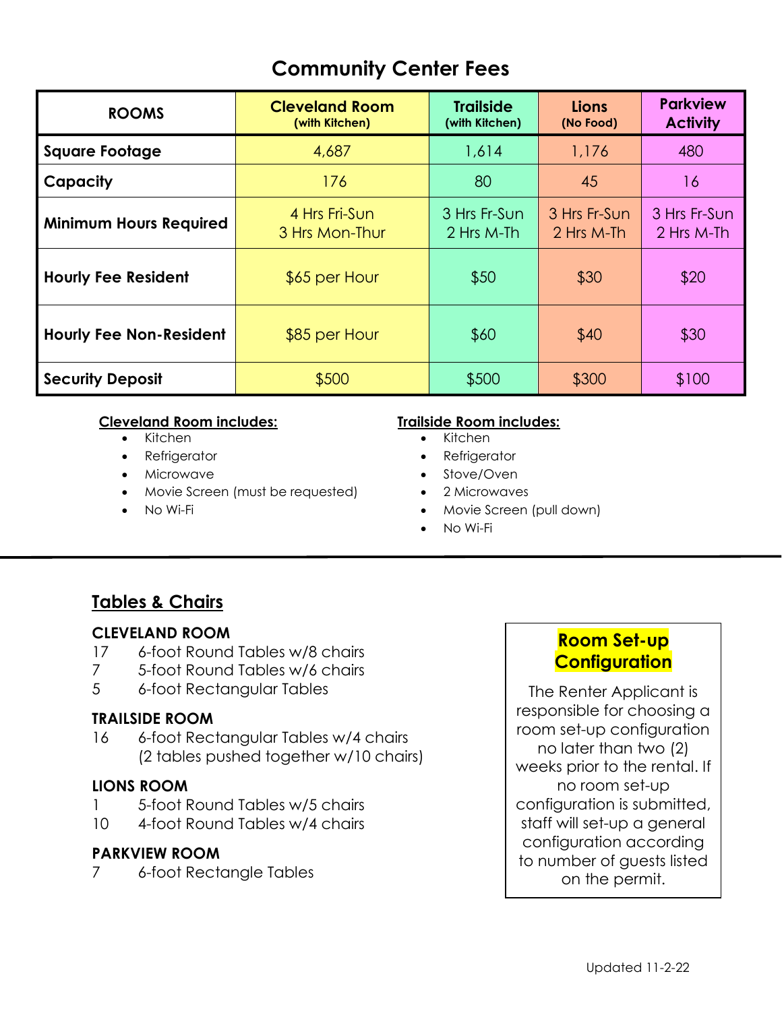# **Community Center Fees**

| <b>ROOMS</b>                   | <b>Cleveland Room</b><br>(with Kitchen) | <b>Trailside</b><br>(with Kitchen) | <b>Lions</b><br>(No Food)  | <b>Parkview</b><br><b>Activity</b> |
|--------------------------------|-----------------------------------------|------------------------------------|----------------------------|------------------------------------|
| <b>Square Footage</b>          | 4,687                                   | 1,614                              | 1,176                      | 480                                |
| Capacity                       | 176                                     | 80                                 | 45                         | 16                                 |
| <b>Minimum Hours Required</b>  | 4 Hrs Fri-Sun<br>3 Hrs Mon-Thur         | 3 Hrs Fr-Sun<br>2 Hrs M-Th         | 3 Hrs Fr-Sun<br>2 Hrs M-Th | 3 Hrs Fr-Sun<br>2 Hrs M-Th         |
| <b>Hourly Fee Resident</b>     | \$65 per Hour                           | \$50                               | \$30                       | \$20                               |
| <b>Hourly Fee Non-Resident</b> | \$85 per Hour                           | \$60                               | \$40                       | \$30                               |
| <b>Security Deposit</b>        | \$500                                   | \$500                              | \$300                      | \$100                              |

## **Cleveland Room includes: Trailside Room includes:**

- 
- Refrigerator **Refrigerator Refrigerator**
- Microwave
- Movie Screen (must be requested)
- No Wi-Fi

- Kitchen Kitchen
	-
	- Stove/Oven
	- 2 Microwaves
	- Movie Screen (pull down)
	- No Wi-Fi

# **Tables & Chairs**

# **CLEVELAND ROOM**

- 17 6-foot Round Tables w/8 chairs
- 7 5-foot Round Tables w/6 chairs
- 5 6-foot Rectangular Tables

## **TRAILSIDE ROOM**

16 6-foot Rectangular Tables w/4 chairs (2 tables pushed together w/10 chairs)

## **LIONS ROOM**

- 1 5-foot Round Tables w/5 chairs
- 10 4-foot Round Tables w/4 chairs

# **PARKVIEW ROOM**

7 6-foot Rectangle Tables

# **Room Set-up Configuration**

The Renter Applicant is responsible for choosing a room set-up configuration no later than two (2) weeks prior to the rental. If no room set-up configuration is submitted, staff will set-up a general configuration according to number of guests listed on the permit.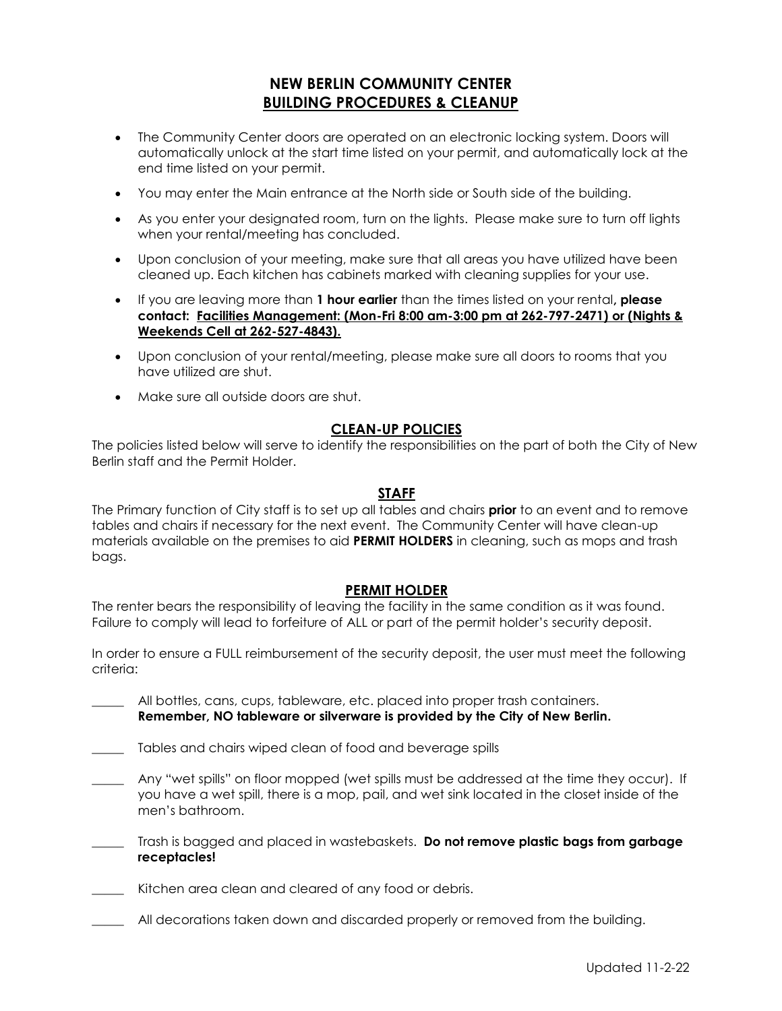## **NEW BERLIN COMMUNITY CENTER BUILDING PROCEDURES & CLEANUP**

- The Community Center doors are operated on an electronic locking system. Doors will automatically unlock at the start time listed on your permit, and automatically lock at the end time listed on your permit.
- You may enter the Main entrance at the North side or South side of the building.
- As you enter your designated room, turn on the lights. Please make sure to turn off lights when your rental/meeting has concluded.
- Upon conclusion of your meeting, make sure that all areas you have utilized have been cleaned up. Each kitchen has cabinets marked with cleaning supplies for your use.
- If you are leaving more than **1 hour earlier** than the times listed on your rental**, please contact: Facilities Management: (Mon-Fri 8:00 am-3:00 pm at 262-797-2471) or (Nights & Weekends Cell at 262-527-4843).**
- Upon conclusion of your rental/meeting, please make sure all doors to rooms that you have utilized are shut.
- Make sure all outside doors are shut.

### **CLEAN-UP POLICIES**

The policies listed below will serve to identify the responsibilities on the part of both the City of New Berlin staff and the Permit Holder.

#### **STAFF**

The Primary function of City staff is to set up all tables and chairs **prior** to an event and to remove tables and chairs if necessary for the next event. The Community Center will have clean-up materials available on the premises to aid **PERMIT HOLDERS** in cleaning, such as mops and trash bags.

#### **PERMIT HOLDER**

The renter bears the responsibility of leaving the facility in the same condition as it was found. Failure to comply will lead to forfeiture of ALL or part of the permit holder's security deposit.

In order to ensure a FULL reimbursement of the security deposit, the user must meet the following criteria:

\_\_\_\_\_ All bottles, cans, cups, tableware, etc. placed into proper trash containers. **Remember, NO tableware or silverware is provided by the City of New Berlin.**

- \_\_\_\_\_ Tables and chairs wiped clean of food and beverage spills
- Any "wet spills" on floor mopped (wet spills must be addressed at the time they occur). If you have a wet spill, there is a mop, pail, and wet sink located in the closet inside of the men's bathroom.
- \_\_\_\_\_ Trash is bagged and placed in wastebaskets. **Do not remove plastic bags from garbage receptacles!**

\_\_\_\_\_ Kitchen area clean and cleared of any food or debris.

\_\_\_\_\_ All decorations taken down and discarded properly or removed from the building.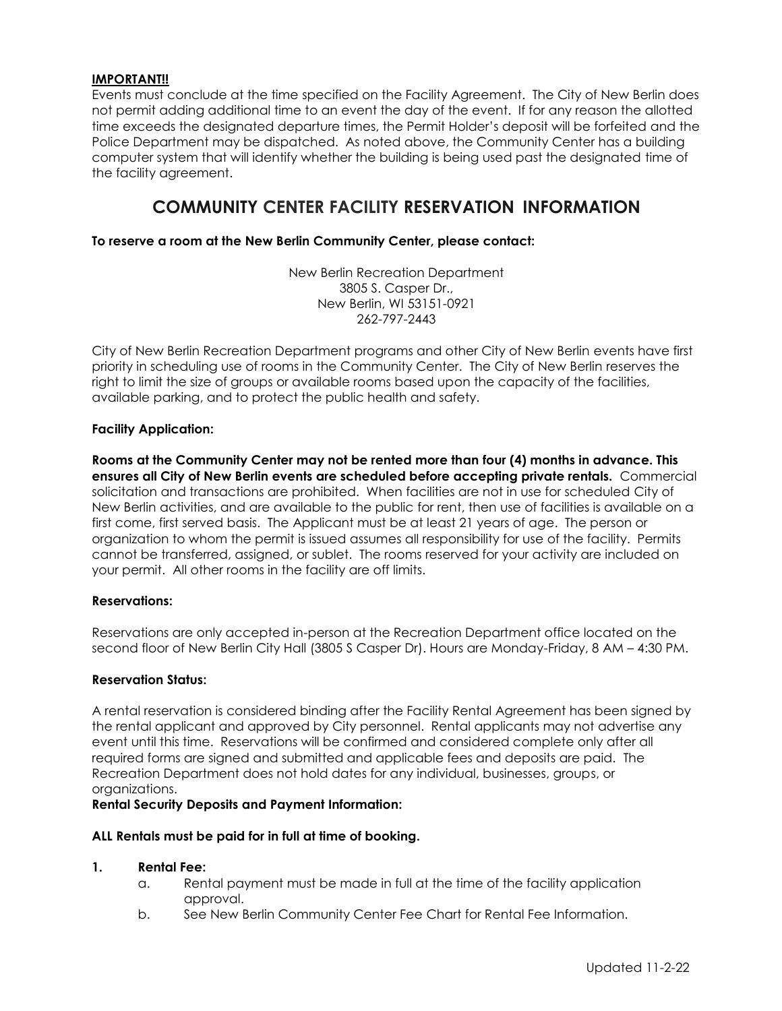#### **IMPORTANT!!**

Events must conclude at the time specified on the Facility Agreement. The City of New Berlin does not permit adding additional time to an event the day of the event. If for any reason the allotted time exceeds the designated departure times, the Permit Holder's deposit will be forfeited and the Police Department may be dispatched. As noted above, the Community Center has a building computer system that will identify whether the building is being used past the designated time of the facility agreement.

# **COMMUNITY CENTER FACILITY RESERVATION INFORMATION**

#### **To reserve a room at the New Berlin Community Center, please contact:**

New Berlin Recreation Department 3805 S. Casper Dr., New Berlin, WI 53151-0921 262-797-2443

City of New Berlin Recreation Department programs and other City of New Berlin events have first priority in scheduling use of rooms in the Community Center. The City of New Berlin reserves the right to limit the size of groups or available rooms based upon the capacity of the facilities, available parking, and to protect the public health and safety.

#### **Facility Application:**

**Rooms at the Community Center may not be rented more than four (4) months in advance. This ensures all City of New Berlin events are scheduled before accepting private rentals.** Commercial solicitation and transactions are prohibited. When facilities are not in use for scheduled City of New Berlin activities, and are available to the public for rent, then use of facilities is available on a first come, first served basis. The Applicant must be at least 21 years of age. The person or organization to whom the permit is issued assumes all responsibility for use of the facility. Permits cannot be transferred, assigned, or sublet. The rooms reserved for your activity are included on your permit. All other rooms in the facility are off limits.

#### **Reservations:**

Reservations are only accepted in-person at the Recreation Department office located on the second floor of New Berlin City Hall (3805 S Casper Dr). Hours are Monday-Friday, 8 AM – 4:30 PM.

#### **Reservation Status:**

A rental reservation is considered binding after the Facility Rental Agreement has been signed by the rental applicant and approved by City personnel. Rental applicants may not advertise any event until this time. Reservations will be confirmed and considered complete only after all required forms are signed and submitted and applicable fees and deposits are paid. The Recreation Department does not hold dates for any individual, businesses, groups, or organizations.

#### **Rental Security Deposits and Payment Information:**

#### **ALL Rentals must be paid for in full at time of booking.**

#### **1. Rental Fee:**

- a. Rental payment must be made in full at the time of the facility application approval.
- b. See New Berlin Community Center Fee Chart for Rental Fee Information.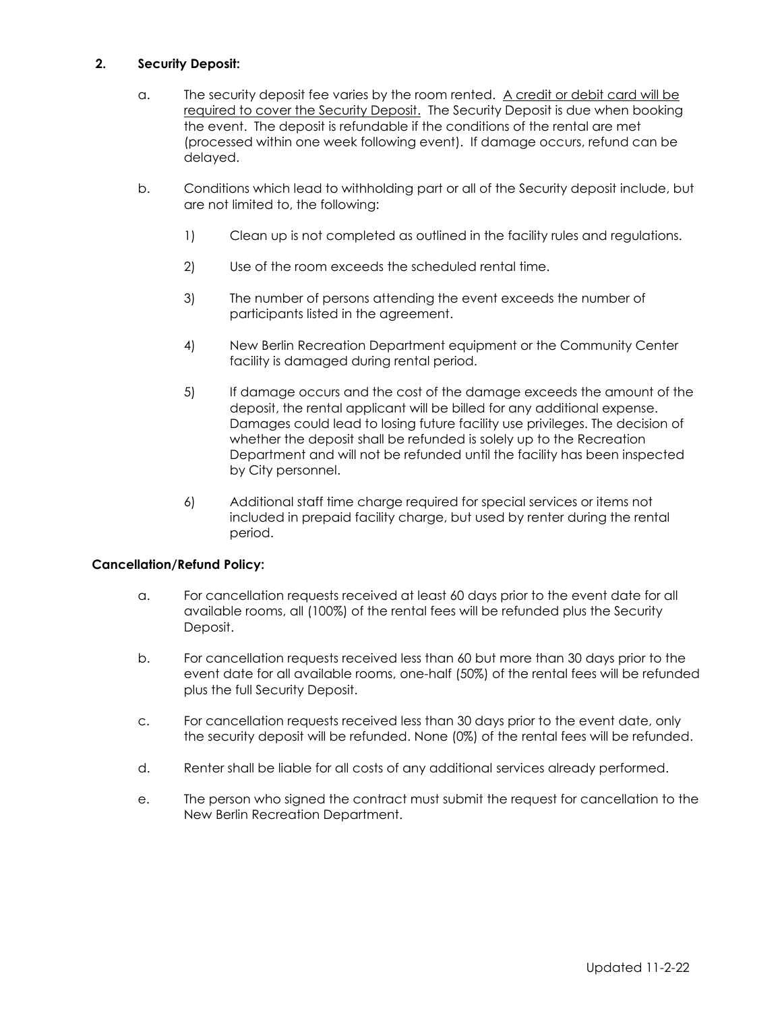### **2. Security Deposit:**

- a. The security deposit fee varies by the room rented. A credit or debit card will be required to cover the Security Deposit. The Security Deposit is due when booking the event. The deposit is refundable if the conditions of the rental are met (processed within one week following event). If damage occurs, refund can be delayed.
- b. Conditions which lead to withholding part or all of the Security deposit include, but are not limited to, the following:
	- 1) Clean up is not completed as outlined in the facility rules and regulations.
	- 2) Use of the room exceeds the scheduled rental time.
	- 3) The number of persons attending the event exceeds the number of participants listed in the agreement.
	- 4) New Berlin Recreation Department equipment or the Community Center facility is damaged during rental period.
	- 5) If damage occurs and the cost of the damage exceeds the amount of the deposit, the rental applicant will be billed for any additional expense. Damages could lead to losing future facility use privileges. The decision of whether the deposit shall be refunded is solely up to the Recreation Department and will not be refunded until the facility has been inspected by City personnel.
	- 6) Additional staff time charge required for special services or items not included in prepaid facility charge, but used by renter during the rental period.

#### **Cancellation/Refund Policy:**

- a. For cancellation requests received at least 60 days prior to the event date for all available rooms, all (100%) of the rental fees will be refunded plus the Security Deposit.
- b. For cancellation requests received less than 60 but more than 30 days prior to the event date for all available rooms, one-half (50%) of the rental fees will be refunded plus the full Security Deposit.
- c. For cancellation requests received less than 30 days prior to the event date, only the security deposit will be refunded. None (0%) of the rental fees will be refunded.
- d. Renter shall be liable for all costs of any additional services already performed.
- e. The person who signed the contract must submit the request for cancellation to the New Berlin Recreation Department.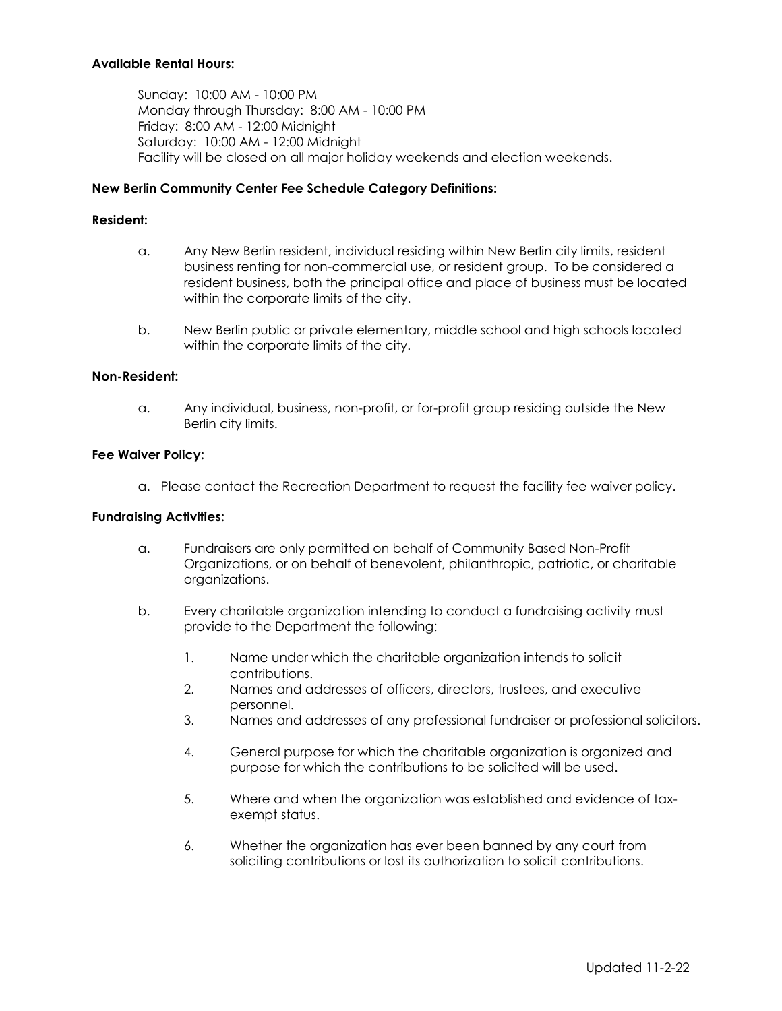#### **Available Rental Hours:**

Sunday: 10:00 AM - 10:00 PM Monday through Thursday: 8:00 AM - 10:00 PM Friday: 8:00 AM - 12:00 Midnight Saturday: 10:00 AM - 12:00 Midnight Facility will be closed on all major holiday weekends and election weekends.

#### **New Berlin Community Center Fee Schedule Category Definitions:**

#### **Resident:**

- a. Any New Berlin resident, individual residing within New Berlin city limits, resident business renting for non-commercial use, or resident group. To be considered a resident business, both the principal office and place of business must be located within the corporate limits of the city.
- b. New Berlin public or private elementary, middle school and high schools located within the corporate limits of the city.

#### **Non-Resident:**

a. Any individual, business, non-profit, or for-profit group residing outside the New Berlin city limits.

#### **Fee Waiver Policy:**

a. Please contact the Recreation Department to request the facility fee waiver policy.

#### **Fundraising Activities:**

- a. Fundraisers are only permitted on behalf of Community Based Non-Profit Organizations, or on behalf of benevolent, philanthropic, patriotic, or charitable organizations.
- b. Every charitable organization intending to conduct a fundraising activity must provide to the Department the following:
	- 1. Name under which the charitable organization intends to solicit contributions.
	- 2. Names and addresses of officers, directors, trustees, and executive personnel.
	- 3. Names and addresses of any professional fundraiser or professional solicitors.
	- 4. General purpose for which the charitable organization is organized and purpose for which the contributions to be solicited will be used.
	- 5. Where and when the organization was established and evidence of taxexempt status.
	- 6. Whether the organization has ever been banned by any court from soliciting contributions or lost its authorization to solicit contributions.